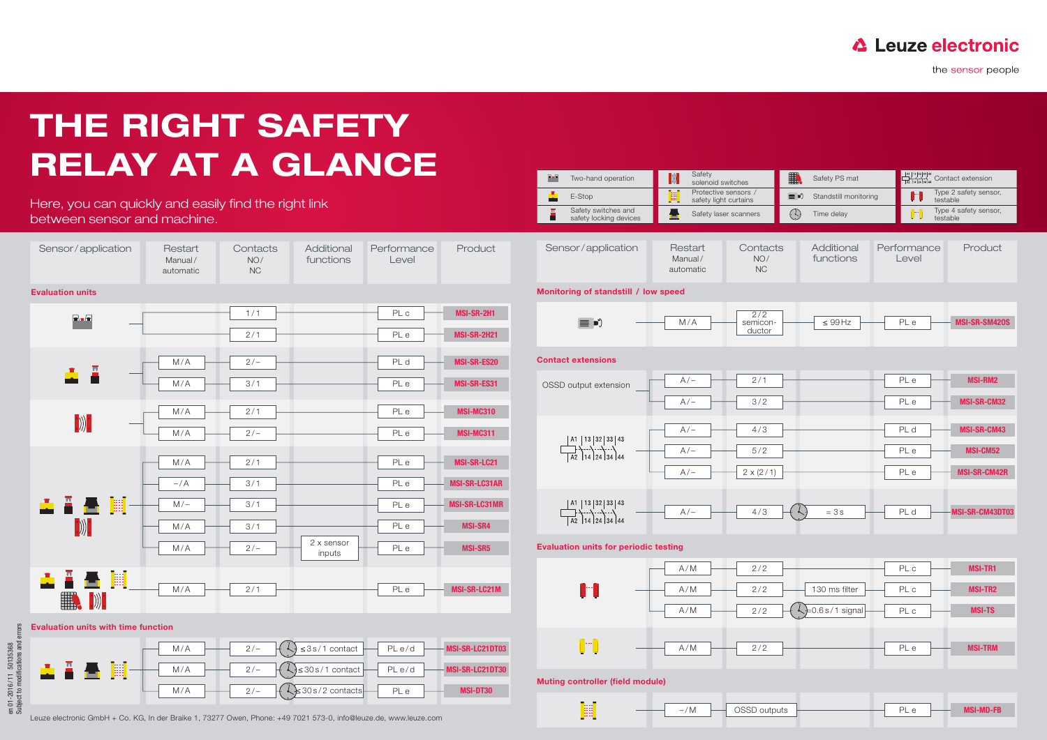## THE RIGHT SAFETY RELAY AT A GLANCE

Here, you can quickly and easily find the right link between sensor and machine.

Safety  $\mathbf{r}$ Two-hand operation solenoid switches Protective sensors / E-Stop safety light curtains Safety switches and 품 Safety laser scanners safety locking devices Product Sensor/application Restart **Contacts** Manual /  $NO/$ automatic NC Monitoring of standstill / low speed  $\frac{2}{2}$  $\equiv$   $\rightarrow$ semiconductor Contact extensions  $A/ -$  2/1 OSSD output extension  $A/ \rightarrow$  3/2  $A/ 4/3$  $\begin{array}{|c|c|c|c|c|}\n\hline\n & A1 & 13 & 32 & 33 & 43 \\
\hline\n & A2 & 14 & 24 & 34 & 44\n\end{array}$  $A/ 5/2$  $A/ 2 \times (2/1)$  $\begin{array}{|c|c|c|c|c|}\n\hline\n & A1 & 13 & 32 & 33 & 43 \\
\hline\n & A2 & 14 & 24 & 34 & 44\n\end{array}$  $A/ 4/3$ 





|  | <b>MSI-MD-FB</b><br><b>INIPI</b> |
|--|----------------------------------|
|  |                                  |



Muting controller (field module)

 $M/A$   $\longrightarrow$   $2/ \leftarrow$   $\leftarrow$   $\leftarrow$   $\leftarrow$   $\leftarrow$   $\leftarrow$   $\leftarrow$   $\leftarrow$   $\leftarrow$   $\leftarrow$   $\leftarrow$   $\leftarrow$   $\leftarrow$   $\leftarrow$   $\leftarrow$   $\leftarrow$   $\leftarrow$   $\leftarrow$   $\leftarrow$   $\leftarrow$   $\leftarrow$   $\leftarrow$   $\leftarrow$   $\leftarrow$   $\leftarrow$   $\leftarrow$   $\leftarrow$   $\leftarrow$   $\leftarrow$   $\leftarrow$   $\leftarrow$   $\leftarrow$   $\leftarrow$   $\leftarrow$   $\$ 

## **A** Leuze electronic

the sensor people